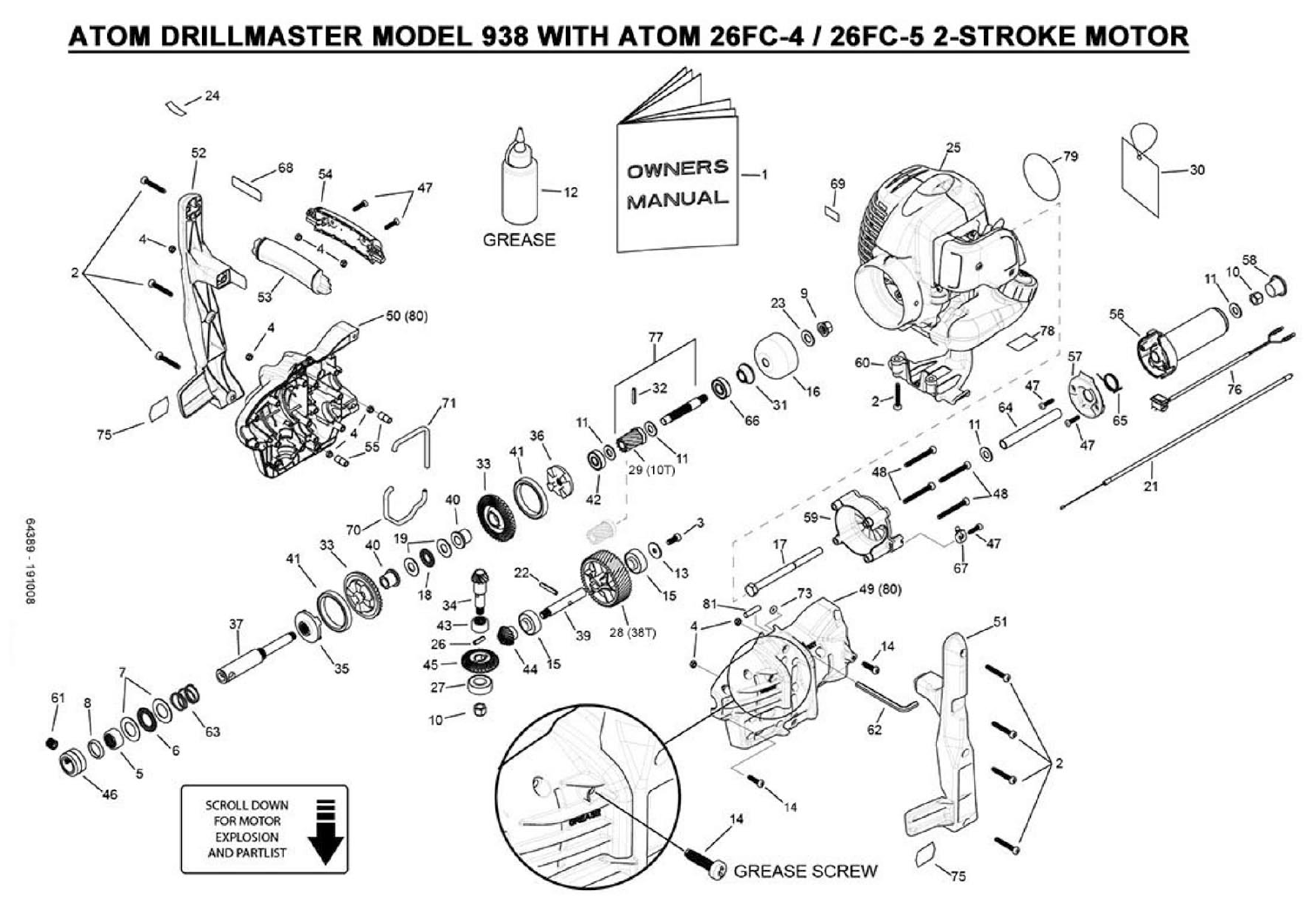## ATOM DRILLMASTER MODEL 938 WITH ATOM 26FC-4 / 26FC-5 2-STROKE MOTOR